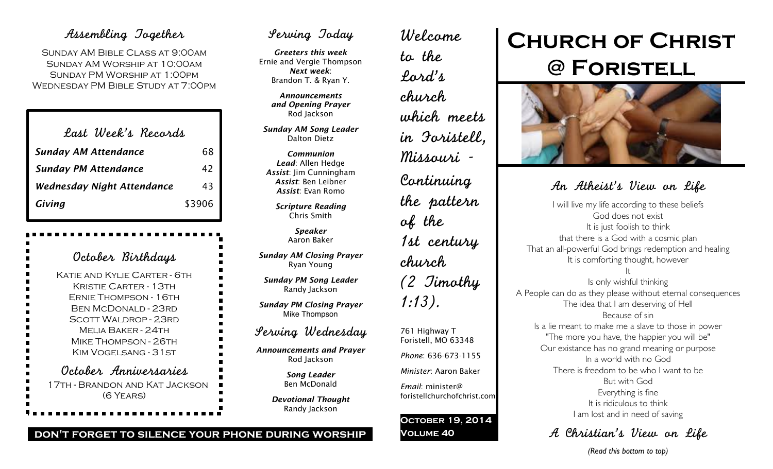### Assembling Together

Sunday AM Bible Class at 9:00am Sunday AM Worship at 10:00am Sunday PM Worship at 1:00pm Wednesday PM Bible Study at 7:00pm

| Last Week's Records               |        |
|-----------------------------------|--------|
| <b>Sunday AM Attendance</b>       | 68     |
| <b>Sunday PM Attendance</b>       | 42     |
| <b>Wednesday Night Attendance</b> | 43     |
| Giving                            | \$3906 |

| October Birthdays                                                                                                                                                                                                          |
|----------------------------------------------------------------------------------------------------------------------------------------------------------------------------------------------------------------------------|
| Katif and Kylif Carter - 6th<br>Kristif Carter - 1.3th<br><b>ERNIE THOMPSON - 16TH</b><br><b>BEN MCDONALD - 23RD</b><br><b>SCOTT WALDROP - 23RD</b><br>MELIA BAKER - 24TH<br>MIKE THOMPSON - 26TH<br>KIM VOGELSANG - 31 ST |
| October Anniversaries<br>17th - Brandon and Kat Jackson<br>$(6$ YEARS)                                                                                                                                                     |

### Serving Today

*Greeters this week* Ernie and Vergie Thompson *Next week*: Brandon T. & Ryan Y.

> *Announcements and Opening Prayer* Rod Jackson

*Sunday AM Song Leader* Dalton Dietz

*Communion Lead*: Allen Hedge *Assist*: Jim Cunningham *Assist*: Ben Leibner *Assist*: Evan Romo

> *Scripture Reading* Chris Smith

> > *Speaker* Aaron Baker

*Sunday AM Closing Prayer* Ryan Young

*Sunday PM Song Leader* Randy Jackson

*Sunday PM Closing Prayer* Mike Thompson

### Serving Wednesday

*Announcements and Prayer* Rod Jackson

> *Song Leader* Ben McDonald

*Devotional Thought* Randy Jackson

Welcome to the Lord's church which meets in Foristell, Missouri - Continuing the pattern of the 1st century church (2 Timothy 1:13). 761 Highway T Foristell, MO 63348 *Phone*: 636-673-1155

*Minister*: Aaron Baker

*Email*: minister@ foristellchurchofchrist.com

#### **October 19, 2014 Volume 40**

# **Church of Christ @ Foristell**



### An Atheist's View on Life

I will live my life according to these beliefs God does not exist It is just foolish to think that there is a God with a cosmic plan That an all-powerful God brings redemption and healing It is comforting thought, however It

Is only wishful thinking A People can do as they please without eternal consequences The idea that I am deserving of Hell Because of sin Is a lie meant to make me a slave to those in power "The more you have, the happier you will be" Our existance has no grand meaning or purpose In a world with no God There is freedom to be who I want to be But with God Everything is fine It is ridiculous to think I am lost and in need of saving

A Christian's View on Life

#### **don't forget to silence your phone during worship**

*(Read this bottom to top)*